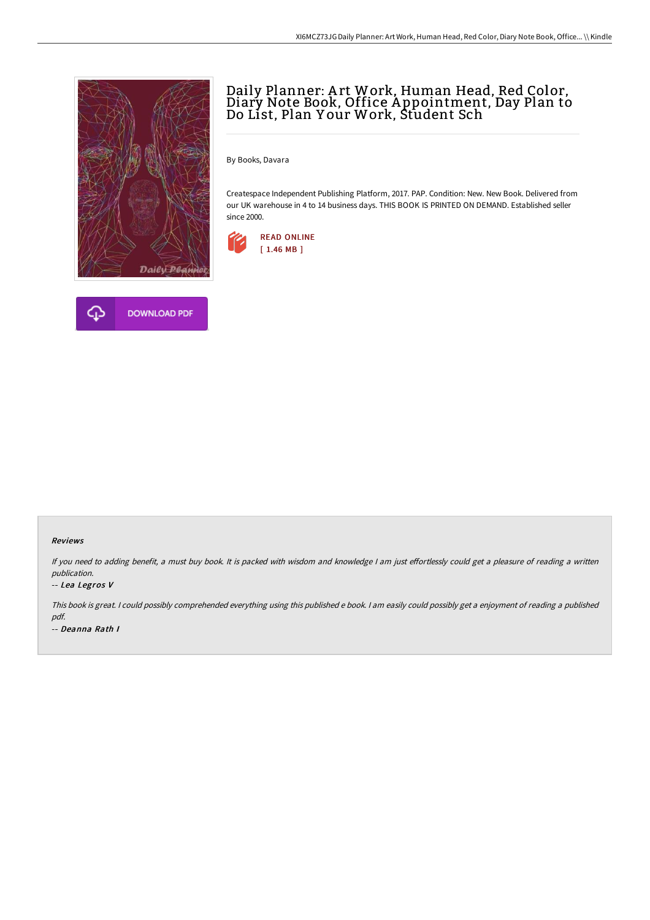



# Daily Planner: A rt Work, Human Head, Red Color, Diary Note Book, Office A ppointment, Day Plan to Do List, Plan Y our Work, Student Sch

By Books, Davara

Createspace Independent Publishing Platform, 2017. PAP. Condition: New. New Book. Delivered from our UK warehouse in 4 to 14 business days. THIS BOOK IS PRINTED ON DEMAND. Established seller since 2000.



### Reviews

If you need to adding benefit, a must buy book. It is packed with wisdom and knowledge I am just effortlessly could get a pleasure of reading a written publication.

### -- Lea Legros V

This book is great. <sup>I</sup> could possibly comprehended everything using this published <sup>e</sup> book. <sup>I</sup> am easily could possibly get <sup>a</sup> enjoyment of reading <sup>a</sup> published pdf. -- Deanna Rath I